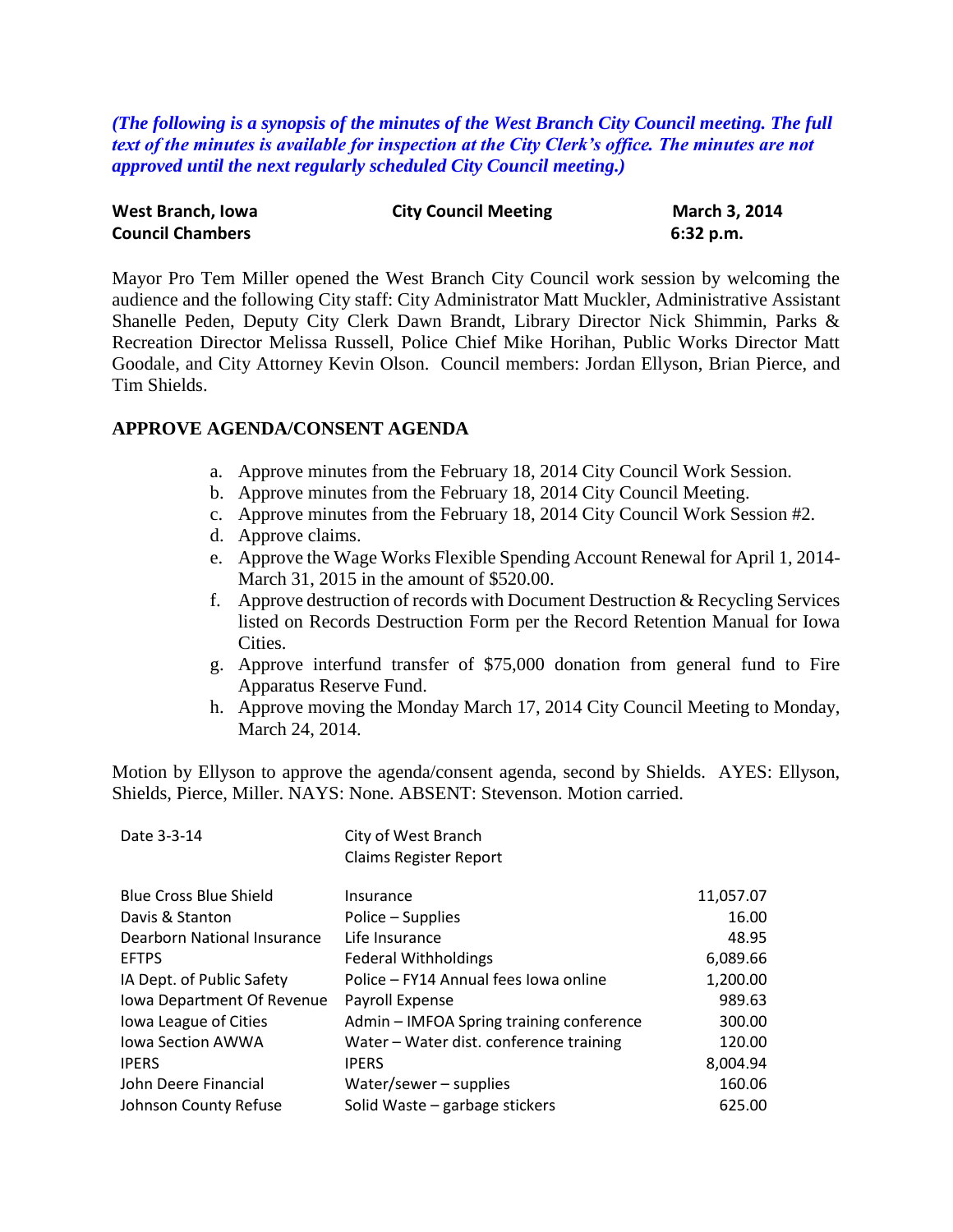*(The following is a synopsis of the minutes of the West Branch City Council meeting. The full text of the minutes is available for inspection at the City Clerk's office. The minutes are not approved until the next regularly scheduled City Council meeting.)*

| West Branch, Iowa       | <b>City Council Meeting</b> | <b>March 3, 2014</b> |
|-------------------------|-----------------------------|----------------------|
| <b>Council Chambers</b> |                             | 6:32 p.m.            |

Mayor Pro Tem Miller opened the West Branch City Council work session by welcoming the audience and the following City staff: City Administrator Matt Muckler, Administrative Assistant Shanelle Peden, Deputy City Clerk Dawn Brandt, Library Director Nick Shimmin, Parks & Recreation Director Melissa Russell, Police Chief Mike Horihan, Public Works Director Matt Goodale, and City Attorney Kevin Olson. Council members: Jordan Ellyson, Brian Pierce, and Tim Shields.

#### **APPROVE AGENDA/CONSENT AGENDA**

- a. Approve minutes from the February 18, 2014 City Council Work Session.
- b. Approve minutes from the February 18, 2014 City Council Meeting.
- c. Approve minutes from the February 18, 2014 City Council Work Session #2.
- d. Approve claims.
- e. Approve the Wage Works Flexible Spending Account Renewal for April 1, 2014- March 31, 2015 in the amount of \$520.00.
- f. Approve destruction of records with Document Destruction & Recycling Services listed on Records Destruction Form per the Record Retention Manual for Iowa Cities.
- g. Approve interfund transfer of \$75,000 donation from general fund to Fire Apparatus Reserve Fund.
- h. Approve moving the Monday March 17, 2014 City Council Meeting to Monday, March 24, 2014.

Motion by Ellyson to approve the agenda/consent agenda, second by Shields. AYES: Ellyson, Shields, Pierce, Miller. NAYS: None. ABSENT: Stevenson. Motion carried.

| Date 3-3-14                   | City of West Branch                      |           |
|-------------------------------|------------------------------------------|-----------|
|                               | <b>Claims Register Report</b>            |           |
| <b>Blue Cross Blue Shield</b> | Insurance                                | 11,057.07 |
| Davis & Stanton               | Police – Supplies                        | 16.00     |
| Dearborn National Insurance   | Life Insurance                           | 48.95     |
| <b>EFTPS</b>                  | <b>Federal Withholdings</b>              | 6,089.66  |
| IA Dept. of Public Safety     | Police - FY14 Annual fees Iowa online    | 1,200.00  |
| Iowa Department Of Revenue    | Payroll Expense                          | 989.63    |
| Iowa League of Cities         | Admin - IMFOA Spring training conference | 300.00    |
| <b>Iowa Section AWWA</b>      | Water - Water dist. conference training  | 120.00    |
| <b>IPERS</b>                  | <b>IPERS</b>                             | 8,004.94  |
| John Deere Financial          | Water/sewer $-$ supplies                 | 160.06    |
| Johnson County Refuse         | Solid Waste - garbage stickers           | 625.00    |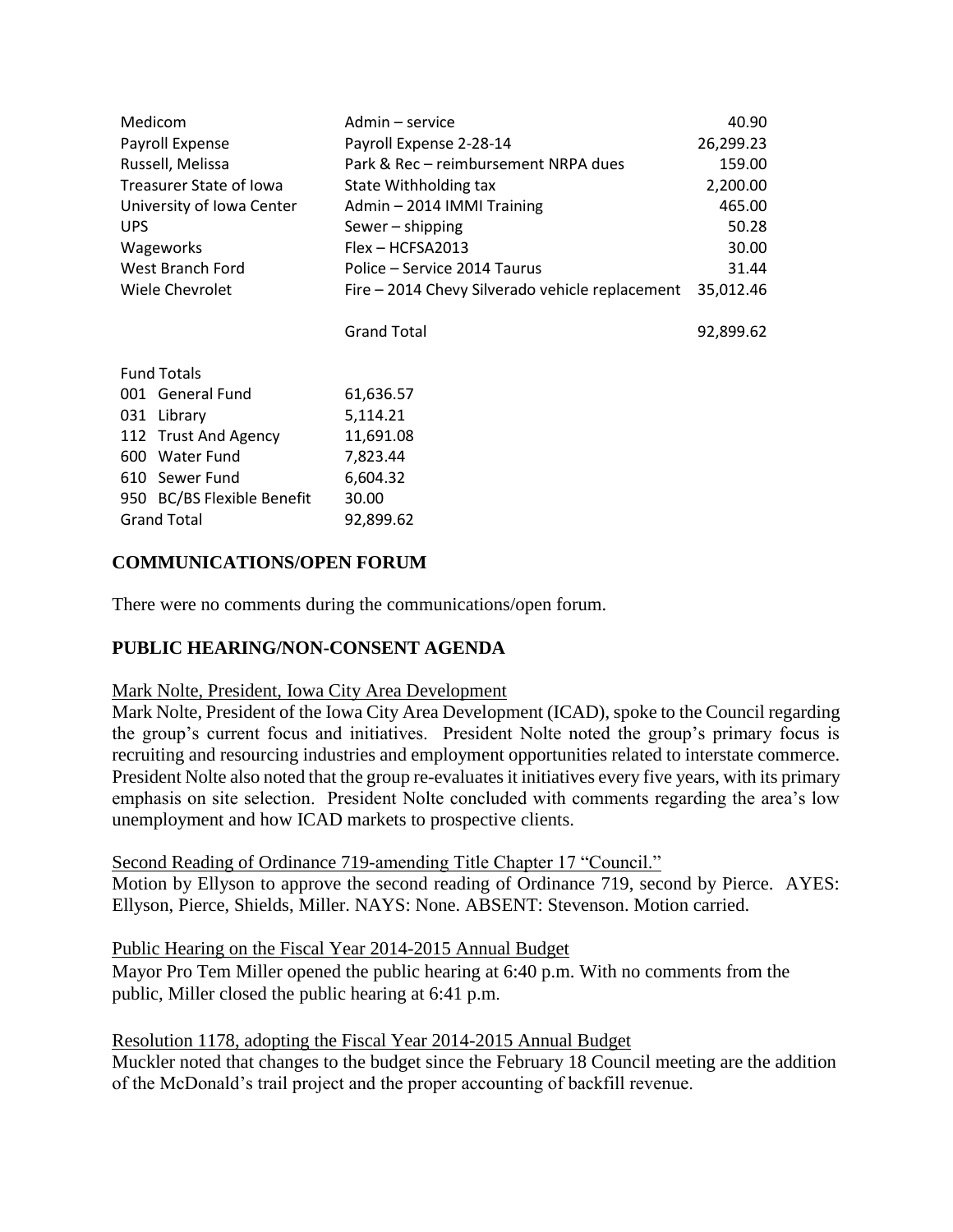| Medicom                   | Admin – service                                 | 40.90     |
|---------------------------|-------------------------------------------------|-----------|
| Payroll Expense           | Payroll Expense 2-28-14                         | 26,299.23 |
| Russell, Melissa          | Park & Rec - reimbursement NRPA dues            | 159.00    |
| Treasurer State of Iowa   | State Withholding tax                           | 2,200.00  |
| University of Iowa Center | Admin - 2014 IMMI Training                      | 465.00    |
| <b>UPS</b>                | Sewer - shipping                                | 50.28     |
| Wageworks                 | Flex - HCFSA2013                                | 30.00     |
| West Branch Ford          | Police – Service 2014 Taurus                    | 31.44     |
| Wiele Chevrolet           | Fire - 2014 Chevy Silverado vehicle replacement | 35,012.46 |
|                           | <b>Grand Total</b>                              | 92,899.62 |

|                    | <b>Fund Totals</b>         |           |
|--------------------|----------------------------|-----------|
|                    | 001 General Fund           | 61,636.57 |
|                    | 031 Library                | 5,114.21  |
|                    | 112 Trust And Agency       | 11,691.08 |
|                    | 600 Water Fund             | 7,823.44  |
|                    | 610 Sewer Fund             | 6,604.32  |
|                    | 950 BC/BS Flexible Benefit | 30.00     |
| <b>Grand Total</b> |                            | 92,899.62 |

## **COMMUNICATIONS/OPEN FORUM**

There were no comments during the communications/open forum.

## **PUBLIC HEARING/NON-CONSENT AGENDA**

#### Mark Nolte, President, Iowa City Area Development

Mark Nolte, President of the Iowa City Area Development (ICAD), spoke to the Council regarding the group's current focus and initiatives. President Nolte noted the group's primary focus is recruiting and resourcing industries and employment opportunities related to interstate commerce. President Nolte also noted that the group re-evaluates it initiatives every five years, with its primary emphasis on site selection. President Nolte concluded with comments regarding the area's low unemployment and how ICAD markets to prospective clients.

Second Reading of Ordinance 719-amending Title Chapter 17 "Council."

Motion by Ellyson to approve the second reading of Ordinance 719, second by Pierce. AYES: Ellyson, Pierce, Shields, Miller. NAYS: None. ABSENT: Stevenson. Motion carried.

#### Public Hearing on the Fiscal Year 2014-2015 Annual Budget

Mayor Pro Tem Miller opened the public hearing at 6:40 p.m. With no comments from the public, Miller closed the public hearing at 6:41 p.m.

#### Resolution 1178, adopting the Fiscal Year 2014-2015 Annual Budget

Muckler noted that changes to the budget since the February 18 Council meeting are the addition of the McDonald's trail project and the proper accounting of backfill revenue.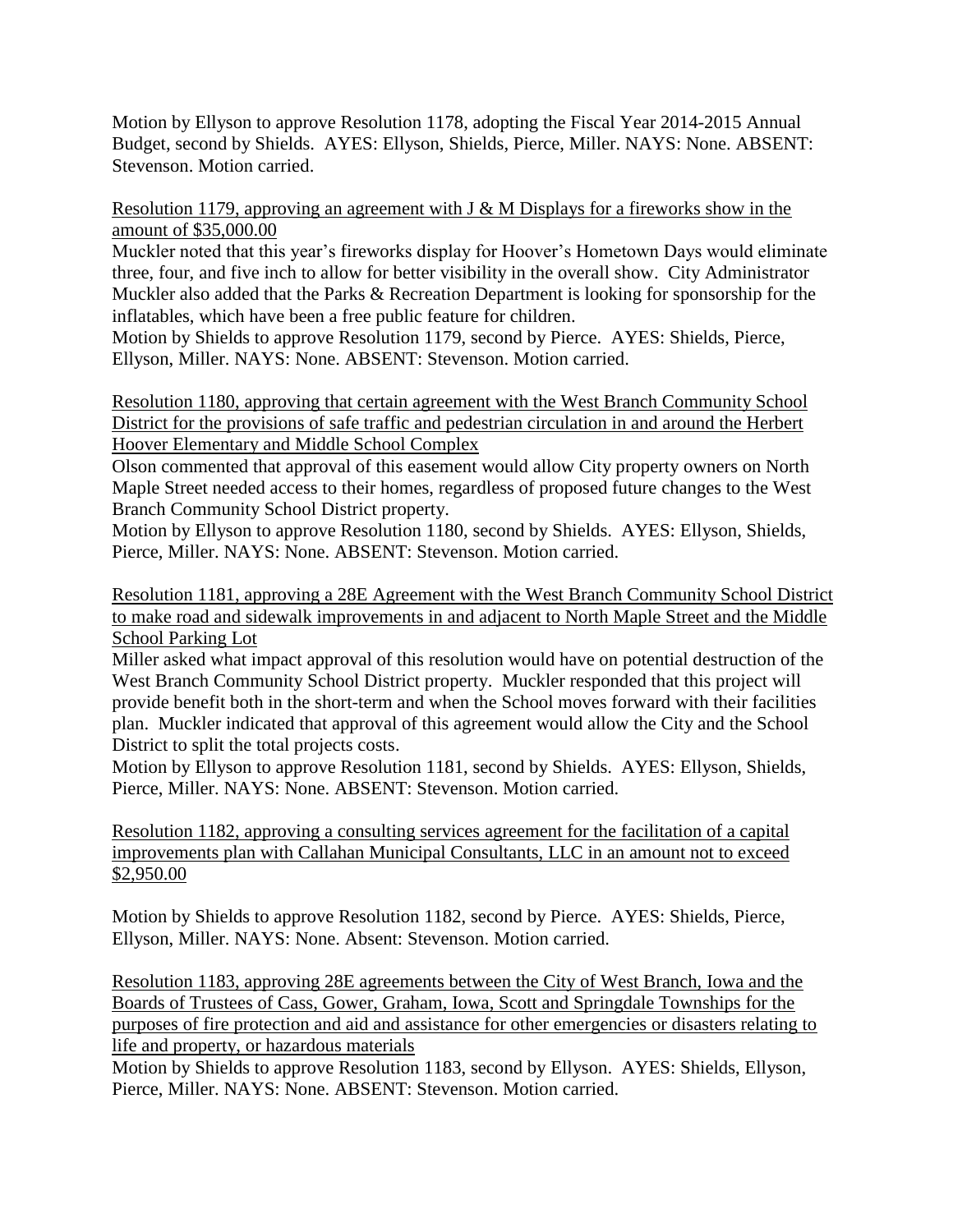Motion by Ellyson to approve Resolution 1178, adopting the Fiscal Year 2014-2015 Annual Budget, second by Shields. AYES: Ellyson, Shields, Pierce, Miller. NAYS: None. ABSENT: Stevenson. Motion carried.

Resolution 1179, approving an agreement with J & M Displays for a fireworks show in the amount of \$35,000.00

Muckler noted that this year's fireworks display for Hoover's Hometown Days would eliminate three, four, and five inch to allow for better visibility in the overall show. City Administrator Muckler also added that the Parks & Recreation Department is looking for sponsorship for the inflatables, which have been a free public feature for children.

Motion by Shields to approve Resolution 1179, second by Pierce. AYES: Shields, Pierce, Ellyson, Miller. NAYS: None. ABSENT: Stevenson. Motion carried.

Resolution 1180, approving that certain agreement with the West Branch Community School District for the provisions of safe traffic and pedestrian circulation in and around the Herbert Hoover Elementary and Middle School Complex

Olson commented that approval of this easement would allow City property owners on North Maple Street needed access to their homes, regardless of proposed future changes to the West Branch Community School District property.

Motion by Ellyson to approve Resolution 1180, second by Shields. AYES: Ellyson, Shields, Pierce, Miller. NAYS: None. ABSENT: Stevenson. Motion carried.

Resolution 1181, approving a 28E Agreement with the West Branch Community School District to make road and sidewalk improvements in and adjacent to North Maple Street and the Middle School Parking Lot

Miller asked what impact approval of this resolution would have on potential destruction of the West Branch Community School District property. Muckler responded that this project will provide benefit both in the short-term and when the School moves forward with their facilities plan. Muckler indicated that approval of this agreement would allow the City and the School District to split the total projects costs.

Motion by Ellyson to approve Resolution 1181, second by Shields. AYES: Ellyson, Shields, Pierce, Miller. NAYS: None. ABSENT: Stevenson. Motion carried.

Resolution 1182, approving a consulting services agreement for the facilitation of a capital improvements plan with Callahan Municipal Consultants, LLC in an amount not to exceed \$2,950.00

Motion by Shields to approve Resolution 1182, second by Pierce. AYES: Shields, Pierce, Ellyson, Miller. NAYS: None. Absent: Stevenson. Motion carried.

Resolution 1183, approving 28E agreements between the City of West Branch, Iowa and the Boards of Trustees of Cass, Gower, Graham, Iowa, Scott and Springdale Townships for the purposes of fire protection and aid and assistance for other emergencies or disasters relating to life and property, or hazardous materials

Motion by Shields to approve Resolution 1183, second by Ellyson. AYES: Shields, Ellyson, Pierce, Miller. NAYS: None. ABSENT: Stevenson. Motion carried.